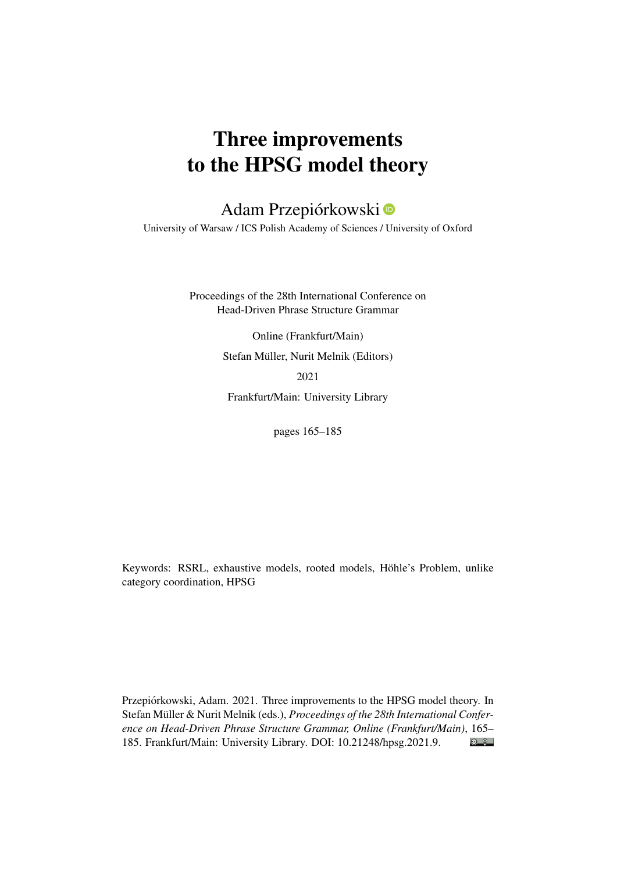# Three improvements to the HPSG model theory

## Adam Przepiórkowski

University of Warsaw / ICS Polish Academy of Sciences / University of Oxford

Proceedings of the 28th International Conference on Head-Driven Phrase Structure Grammar

> Online (Frankfurt/Main) Stefan Müller, Nurit Melnik (Editors)

2021

Frankfurt/Main: University Library

pages 165–185

Keywords: RSRL, exhaustive models, rooted models, Höhle's Problem, unlike category coordination, HPSG

Przepiórkowski, Adam. 2021. Three improvements to the HPSG model theory. In Stefan Müller & Nurit Melnik (eds.), *Proceedings of the 28th International Conference on Head-Driven Phrase Structure Grammar, Online (Frankfurt/Main)*, 165–  $\bigcirc$   $\bigcirc$ 185. Frankfurt/Main: University Library. DOI: [10.21248/hpsg.2021.9.](http://doi.org/10.21248/hpsg.2021.9)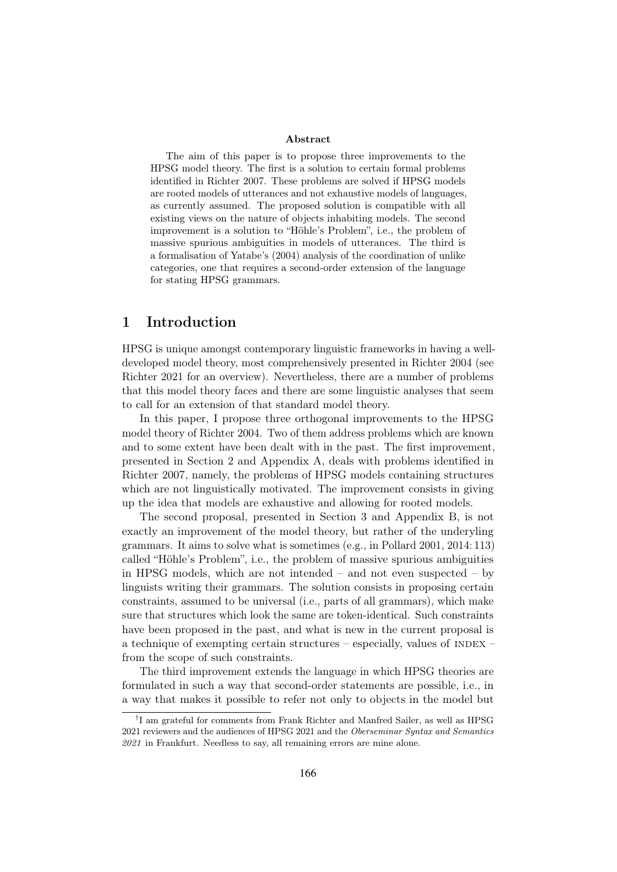#### Abstract

The aim of this paper is to propose three improvements to the HPSG model theory. The first is a solution to certain formal problems identified in Richter 2007. These problems are solved if HPSG models are rooted models of utterances and not exhaustive models of languages, as currently assumed. The proposed solution is compatible with all existing views on the nature of objects inhabiting models. The second improvement is a solution to "Höhle's Problem", i.e., the problem of massive spurious ambiguities in models of utterances. The third is a formalisation of Yatabe's (2004) analysis of the coordination of unlike categories, one that requires a second-order extension of the language for stating HPSG grammars.

#### 1 Introduction

HPSG is unique amongst contemporary linguistic frameworks in having a welldeveloped model theory, most comprehensively presented in Richter 2004 (see Richter 2021 for an overview). Nevertheless, there are a number of problems that this model theory faces and there are some linguistic analyses that seem to call for an extension of that standard model theory.

In this paper, I propose three orthogonal improvements to the HPSG model theory of Richter 2004. Two of them address problems which are known and to some extent have been dealt with in the past. The first improvement, presented in Section 2 and Appendix A, deals with problems identified in Richter 2007, namely, the problems of HPSG models containing structures which are not linguistically motivated. The improvement consists in giving up the idea that models are exhaustive and allowing for rooted models.

The second proposal, presented in Section 3 and Appendix B, is not exactly an improvement of the model theory, but rather of the underyling grammars. It aims to solve what is sometimes (e.g., in Pollard 2001, 2014: 113) called "Höhle's Problem", i.e., the problem of massive spurious ambiguities in HPSG models, which are not intended – and not even suspected – by linguists writing their grammars. The solution consists in proposing certain constraints, assumed to be universal (i.e., parts of all grammars), which make sure that structures which look the same are token-identical. Such constraints have been proposed in the past, and what is new in the current proposal is a technique of exempting certain structures – especially, values of  $INDEX$  – from the scope of such constraints.

The third improvement extends the language in which HPSG theories are formulated in such a way that second-order statements are possible, i.e., in a way that makes it possible to refer not only to objects in the model but

<sup>†</sup> I am grateful for comments from Frank Richter and Manfred Sailer, as well as HPSG 2021 reviewers and the audiences of HPSG 2021 and the Oberseminar Syntax and Semantics 2021 in Frankfurt. Needless to say, all remaining errors are mine alone.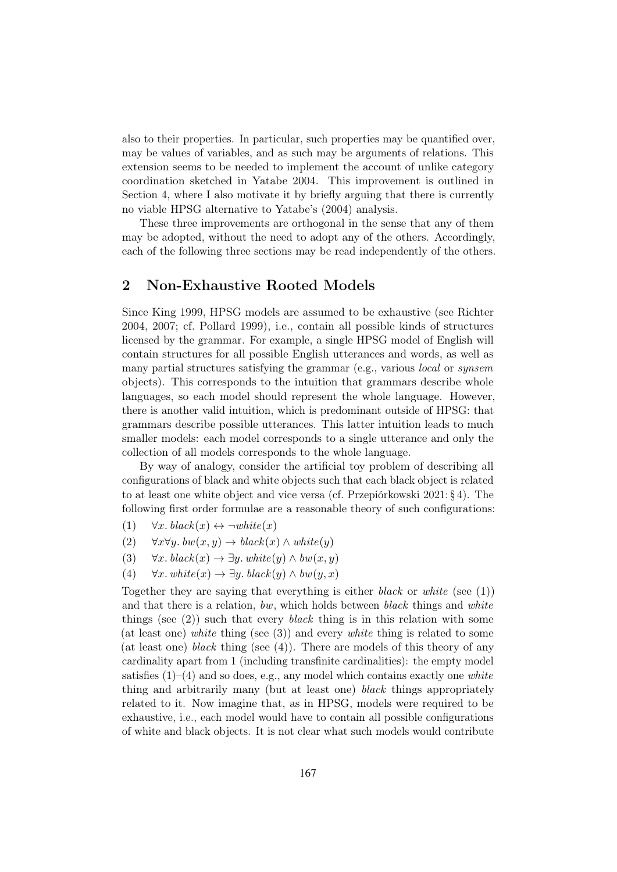also to their properties. In particular, such properties may be quantified over, may be values of variables, and as such may be arguments of relations. This extension seems to be needed to implement the account of unlike category coordination sketched in Yatabe 2004. This improvement is outlined in Section 4, where I also motivate it by briefly arguing that there is currently no viable HPSG alternative to Yatabe's (2004) analysis.

These three improvements are orthogonal in the sense that any of them may be adopted, without the need to adopt any of the others. Accordingly, each of the following three sections may be read independently of the others.

## 2 Non-Exhaustive Rooted Models

Since King 1999, HPSG models are assumed to be exhaustive (see Richter 2004, 2007; cf. Pollard 1999), i.e., contain all possible kinds of structures licensed by the grammar. For example, a single HPSG model of English will contain structures for all possible English utterances and words, as well as many partial structures satisfying the grammar (e.g., various local or synsem objects). This corresponds to the intuition that grammars describe whole languages, so each model should represent the whole language. However, there is another valid intuition, which is predominant outside of HPSG: that grammars describe possible utterances. This latter intuition leads to much smaller models: each model corresponds to a single utterance and only the collection of all models corresponds to the whole language.

By way of analogy, consider the artificial toy problem of describing all configurations of black and white objects such that each black object is related to at least one white object and vice versa (cf. Przepiórkowski 2021: § 4). The following first order formulae are a reasonable theory of such configurations:

- (1)  $\forall x. \, black(x) \leftrightarrow \neg white(x)$
- (2)  $\forall x \forall y. bw(x, y) \rightarrow black(x) \land white(y)$
- (3)  $\forall x. \, black(x) \rightarrow \exists y. \, white(y) \wedge bw(x, y)$
- (4)  $\forall x. \text{white}(x) \rightarrow \exists y. \text{black}(y) \wedge \text{bw}(y, x)$

Together they are saying that everything is either black or white (see  $(1)$ ) and that there is a relation, bw, which holds between black things and white things (see  $(2)$ ) such that every *black* thing is in this relation with some (at least one) white thing (see  $(3)$ ) and every white thing is related to some (at least one) black thing (see  $(4)$ ). There are models of this theory of any cardinality apart from 1 (including transfinite cardinalities): the empty model satisfies  $(1)$ – $(4)$  and so does, e.g., any model which contains exactly one white thing and arbitrarily many (but at least one) black things appropriately related to it. Now imagine that, as in HPSG, models were required to be exhaustive, i.e., each model would have to contain all possible configurations of white and black objects. It is not clear what such models would contribute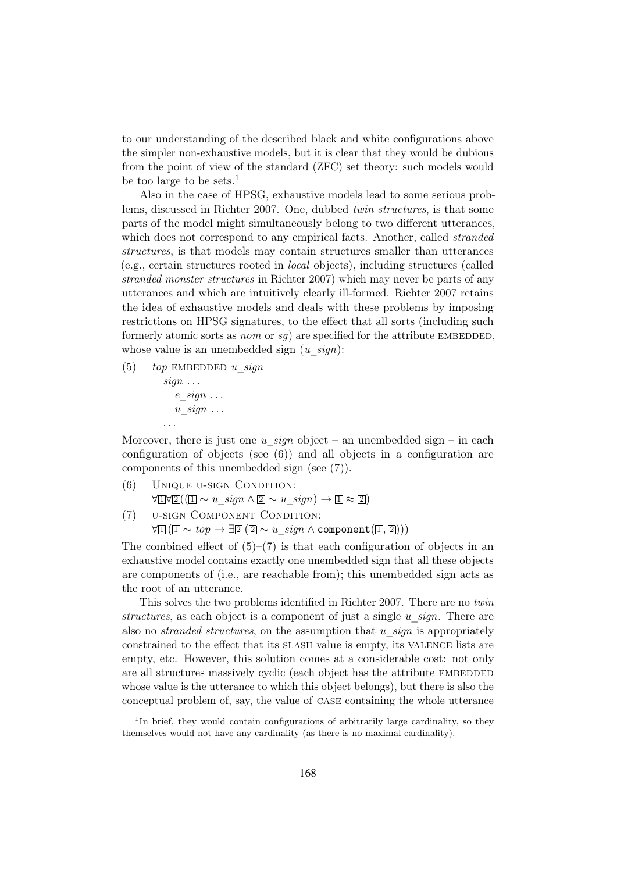to our understanding of the described black and white configurations above the simpler non-exhaustive models, but it is clear that they would be dubious from the point of view of the standard (ZFC) set theory: such models would be too large to be sets.<sup>1</sup>

Also in the case of HPSG, exhaustive models lead to some serious problems, discussed in Richter 2007. One, dubbed twin structures, is that some parts of the model might simultaneously belong to two different utterances, which does not correspond to any empirical facts. Another, called *stranded* structures, is that models may contain structures smaller than utterances (e.g., certain structures rooted in local objects), including structures (called stranded monster structures in Richter 2007) which may never be parts of any utterances and which are intuitively clearly ill-formed. Richter 2007 retains the idea of exhaustive models and deals with these problems by imposing restrictions on HPSG signatures, to the effect that all sorts (including such formerly atomic sorts as *nom* or  $sq$ ) are specified for the attribute EMBEDDED, whose value is an unembedded sign  $(u-sign)$ :

- (5) top EMBEDDED u sign
	- $sign \dots$  $e$  sign  $\ldots$  $u$  sign  $\dots$ . . .

Moreover, there is just one u sign object – an unembedded sign – in each configuration of objects (see (6)) and all objects in a configuration are components of this unembedded sign (see (7)).

- (6) Unique u-sign Condition:  $\forall \exists \forall \exists ((\Box \sim u \; sign \land \Box \sim u \; sign) \rightarrow \Box \approx \Box)$
- (7) u-sign Component Condition:

 $\forall \mathbb{I}$  ( $\mathbb{I} \sim top \rightarrow \exists \mathbb{Z}$  ( $\mathbb{Z} \sim u \ sign \wedge \text{component} (\mathbb{I}, \mathbb{Z} ))$ )

The combined effect of  $(5)$ – $(7)$  is that each configuration of objects in an exhaustive model contains exactly one unembedded sign that all these objects are components of (i.e., are reachable from); this unembedded sign acts as the root of an utterance.

This solves the two problems identified in Richter 2007. There are no twin structures, as each object is a component of just a single  $u$  sign. There are also no *stranded structures*, on the assumption that u *sign* is appropriately constrained to the effect that its slash value is empty, its valence lists are empty, etc. However, this solution comes at a considerable cost: not only are all structures massively cyclic (each object has the attribute EMBEDDED whose value is the utterance to which this object belongs), but there is also the conceptual problem of, say, the value of case containing the whole utterance

<sup>&</sup>lt;sup>1</sup>In brief, they would contain configurations of arbitrarily large cardinality, so they themselves would not have any cardinality (as there is no maximal cardinality).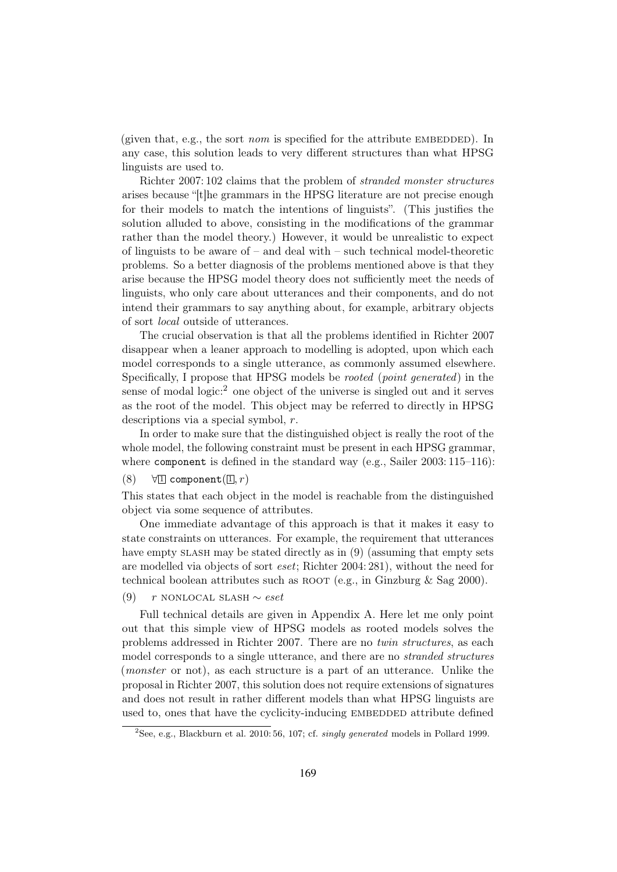(given that, e.g., the sort *nom* is specified for the attribute EMBEDDED). In any case, this solution leads to very different structures than what HPSG linguists are used to.

Richter 2007: 102 claims that the problem of stranded monster structures arises because "[t]he grammars in the HPSG literature are not precise enough for their models to match the intentions of linguists". (This justifies the solution alluded to above, consisting in the modifications of the grammar rather than the model theory.) However, it would be unrealistic to expect of linguists to be aware of – and deal with – such technical model-theoretic problems. So a better diagnosis of the problems mentioned above is that they arise because the HPSG model theory does not sufficiently meet the needs of linguists, who only care about utterances and their components, and do not intend their grammars to say anything about, for example, arbitrary objects of sort local outside of utterances.

The crucial observation is that all the problems identified in Richter 2007 disappear when a leaner approach to modelling is adopted, upon which each model corresponds to a single utterance, as commonly assumed elsewhere. Specifically, I propose that HPSG models be rooted (point generated) in the sense of modal logic:<sup>2</sup> one object of the universe is singled out and it serves as the root of the model. This object may be referred to directly in HPSG descriptions via a special symbol, r.

In order to make sure that the distinguished object is really the root of the whole model, the following constraint must be present in each HPSG grammar, where component is defined in the standard way (e.g., Sailer 2003: 115–116):

(8)  $\forall$  1 component(1, r)

This states that each object in the model is reachable from the distinguished object via some sequence of attributes.

One immediate advantage of this approach is that it makes it easy to state constraints on utterances. For example, the requirement that utterances have empty slash may be stated directly as in  $(9)$  (assuming that empty sets are modelled via objects of sort eset; Richter 2004: 281), without the need for technical boolean attributes such as ROOT (e.g., in Ginzburg  $\&$  Sag 2000).

#### (9) r NONLOCAL SLASH  $∼$  eset

Full technical details are given in Appendix A. Here let me only point out that this simple view of HPSG models as rooted models solves the problems addressed in Richter 2007. There are no twin structures, as each model corresponds to a single utterance, and there are no stranded structures (monster or not), as each structure is a part of an utterance. Unlike the proposal in Richter 2007, this solution does not require extensions of signatures and does not result in rather different models than what HPSG linguists are used to, ones that have the cyclicity-inducing EMBEDDED attribute defined

<sup>&</sup>lt;sup>2</sup>See, e.g., Blackburn et al. 2010: 56, 107; cf. singly generated models in Pollard 1999.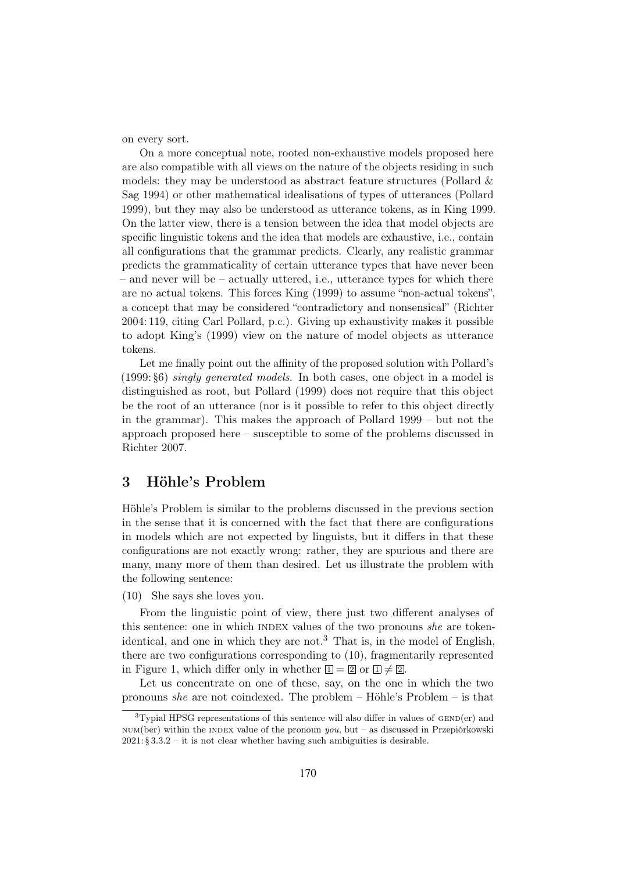on every sort.

On a more conceptual note, rooted non-exhaustive models proposed here are also compatible with all views on the nature of the objects residing in such models: they may be understood as abstract feature structures (Pollard & Sag 1994) or other mathematical idealisations of types of utterances (Pollard 1999), but they may also be understood as utterance tokens, as in King 1999. On the latter view, there is a tension between the idea that model objects are specific linguistic tokens and the idea that models are exhaustive, i.e., contain all configurations that the grammar predicts. Clearly, any realistic grammar predicts the grammaticality of certain utterance types that have never been – and never will be – actually uttered, i.e., utterance types for which there are no actual tokens. This forces King (1999) to assume "non-actual tokens", a concept that may be considered "contradictory and nonsensical" (Richter 2004: 119, citing Carl Pollard, p.c.). Giving up exhaustivity makes it possible to adopt King's (1999) view on the nature of model objects as utterance tokens.

Let me finally point out the affinity of the proposed solution with Pollard's (1999: §6) singly generated models. In both cases, one object in a model is distinguished as root, but Pollard (1999) does not require that this object be the root of an utterance (nor is it possible to refer to this object directly in the grammar). This makes the approach of Pollard 1999 – but not the approach proposed here – susceptible to some of the problems discussed in Richter 2007.

## 3 Höhle's Problem

Höhle's Problem is similar to the problems discussed in the previous section in the sense that it is concerned with the fact that there are configurations in models which are not expected by linguists, but it differs in that these configurations are not exactly wrong: rather, they are spurious and there are many, many more of them than desired. Let us illustrate the problem with the following sentence:

(10) She says she loves you.

From the linguistic point of view, there just two different analyses of this sentence: one in which INDEX values of the two pronouns she are tokenidentical, and one in which they are not.<sup>3</sup> That is, in the model of English. there are two configurations corresponding to (10), fragmentarily represented in Figure 1, which differ only in whether  $\boxed{1} = \boxed{2}$  or  $\boxed{1} \neq \boxed{2}$ .

Let us concentrate on one of these, say, on the one in which the two pronouns she are not coindexed. The problem – Höhle's Problem – is that

 $3$ Typial HPSG representations of this sentence will also differ in values of  $GEND(er)$  and  $num(ber)$  within the INDEX value of the pronoun you, but – as discussed in Przepiórkowski  $2021: § 3.3.2 - it$  is not clear whether having such ambiguities is desirable.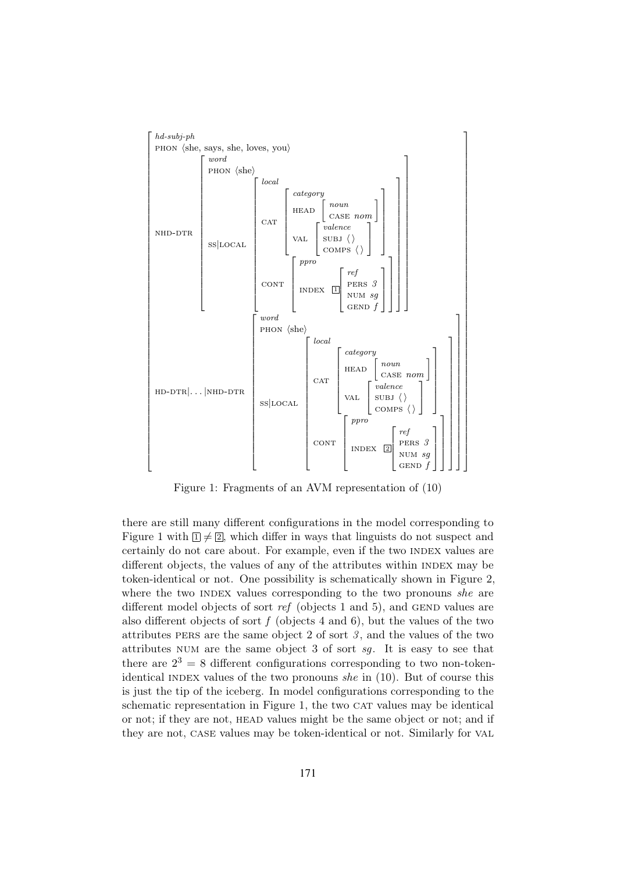

Figure 1: Fragments of an AVM representation of (10)

there are still many different configurations in the model corresponding to Figure 1 with  $\mathbb{I} \neq \mathbb{Z}$ , which differ in ways that linguists do not suspect and certainly do not care about. For example, even if the two INDEX values are different objects, the values of any of the attributes within INDEX may be token-identical or not. One possibility is schematically shown in Figure 2, where the two INDEX values corresponding to the two pronouns she are different model objects of sort ref (objects 1 and 5), and GEND values are also different objects of sort  $f$  (objects 4 and 6), but the values of the two attributes PERS are the same object 2 of sort  $\beta$ , and the values of the two attributes num are the same object 3 of sort sg. It is easy to see that there are  $2^3 = 8$  different configurations corresponding to two non-tokenidentical INDEX values of the two pronouns she in  $(10)$ . But of course this is just the tip of the iceberg. In model configurations corresponding to the schematic representation in Figure 1, the two CAT values may be identical or not; if they are not, HEAD values might be the same object or not; and if they are not, case values may be token-identical or not. Similarly for val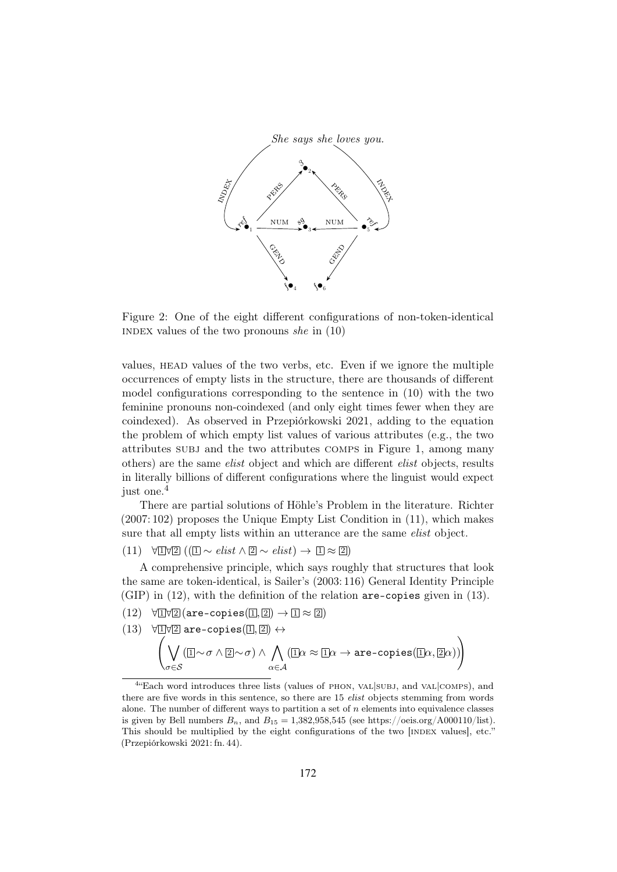

Figure 2: One of the eight different configurations of non-token-identical INDEX values of the two pronouns she in  $(10)$ 

values, HEAD values of the two verbs, etc. Even if we ignore the multiple occurrences of empty lists in the structure, there are thousands of different model configurations corresponding to the sentence in (10) with the two feminine pronouns non-coindexed (and only eight times fewer when they are coindexed). As observed in Przepiórkowski 2021, adding to the equation the problem of which empty list values of various attributes (e.g., the two attributes subj and the two attributes comps in Figure 1, among many others) are the same elist object and which are different elist objects, results in literally billions of different configurations where the linguist would expect just one.<sup>4</sup>

There are partial solutions of Höhle's Problem in the literature. Richter (2007: 102) proposes the Unique Empty List Condition in (11), which makes sure that all empty lists within an utterance are the same *elist* object.

 $(11) \quad \forall \exists \forall \exists (\exists \sim elist \land \exists \sim elist) \rightarrow \exists \exists \approx \exists)$ 

A comprehensive principle, which says roughly that structures that look the same are token-identical, is Sailer's (2003: 116) General Identity Principle (GIP) in (12), with the definition of the relation are-copies given in (13).

- $(12) \quad \forall \exists \forall \exists (\text{are-copies}(\exists, \exists) \rightarrow \exists \approx \exists)$
- $(13)$  $\frac{\mathbb{1} \mathbb{V} \mathbb{2}}{\mathbb{1}}$  are-copies $(\mathbb{1}, \mathbb{2}) \leftrightarrow$

$$
\left(\bigvee_{\sigma\in\mathcal{S}}(\textbf{I}\!\!\!\!\mathrm{I}\sim\sigma\wedge\textbf{I}\!\!\!\mathrm{I}\sim\sigma)\wedge\bigwedge_{\alpha\in\mathcal{A}}(\textbf{I}\!\!\;\mathrm{I}\alpha\approx\textbf{I}\!\!\;\mathrm{I}\alpha\rightarrow\texttt{are-copies}(\textbf{I}\!\!\;\mathrm{I}\alpha,\textbf{I}\!\!\;\mathrm{I}\alpha))\right)
$$

<sup>&</sup>lt;sup>4</sup> Each word introduces three lists (values of PHON, VAL SUBJ, and VAL COMPS), and there are five words in this sentence, so there are 15 *elist* objects stemming from words alone. The number of different ways to partition a set of  $n$  elements into equivalence classes is given by Bell numbers  $B_n$ , and  $B_{15} = 1,382,958,545$  (see https://oeis.org/A000110/list). This should be multiplied by the eight configurations of the two [INDEX values], etc." (Przepiórkowski 2021: fn. 44).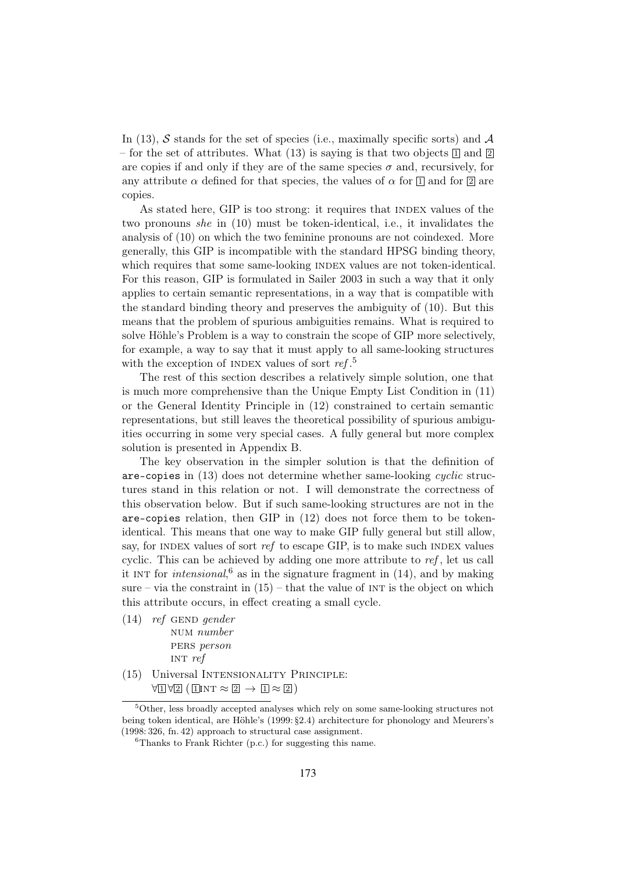In (13), S stands for the set of species (i.e., maximally specific sorts) and  $\mathcal A$ – for the set of attributes. What (13) is saying is that two objects  $\boxed{1}$  and  $\boxed{2}$ are copies if and only if they are of the same species  $\sigma$  and, recursively, for any attribute  $\alpha$  defined for that species, the values of  $\alpha$  for  $\Box$  and for  $\Box$  are copies.

As stated here, GIP is too strong: it requires that INDEX values of the two pronouns she in (10) must be token-identical, i.e., it invalidates the analysis of (10) on which the two feminine pronouns are not coindexed. More generally, this GIP is incompatible with the standard HPSG binding theory, which requires that some same-looking INDEX values are not token-identical. For this reason, GIP is formulated in Sailer 2003 in such a way that it only applies to certain semantic representations, in a way that is compatible with the standard binding theory and preserves the ambiguity of (10). But this means that the problem of spurious ambiguities remains. What is required to solve Höhle's Problem is a way to constrain the scope of GIP more selectively, for example, a way to say that it must apply to all same-looking structures with the exception of INDEX values of sort  $ref.^5$ 

The rest of this section describes a relatively simple solution, one that is much more comprehensive than the Unique Empty List Condition in (11) or the General Identity Principle in (12) constrained to certain semantic representations, but still leaves the theoretical possibility of spurious ambiguities occurring in some very special cases. A fully general but more complex solution is presented in Appendix B.

The key observation in the simpler solution is that the definition of are-copies in (13) does not determine whether same-looking cyclic structures stand in this relation or not. I will demonstrate the correctness of this observation below. But if such same-looking structures are not in the are-copies relation, then GIP in (12) does not force them to be tokenidentical. This means that one way to make GIP fully general but still allow, say, for INDEX values of sort ref to escape GIP, is to make such INDEX values cyclic. This can be achieved by adding one more attribute to ref, let us call it INT for *intensional*,<sup>6</sup> as in the signature fragment in  $(14)$ , and by making sure – via the constraint in  $(15)$  – that the value of INT is the object on which this attribute occurs, in effect creating a small cycle.

- $(14)$  ref GEND gender NUM number PERS person INT  $ref$
- (15) Universal Intensionality Principle:  $\forall 1 \forall 2 (\exists \text{INT} \approx 2 \rightarrow 1 \approx 2)$

<sup>5</sup>Other, less broadly accepted analyses which rely on some same-looking structures not being token identical, are Höhle's (1999: §2.4) architecture for phonology and Meurers's (1998: 326, fn. 42) approach to structural case assignment.

 ${}^{6}$ Thanks to Frank Richter (p.c.) for suggesting this name.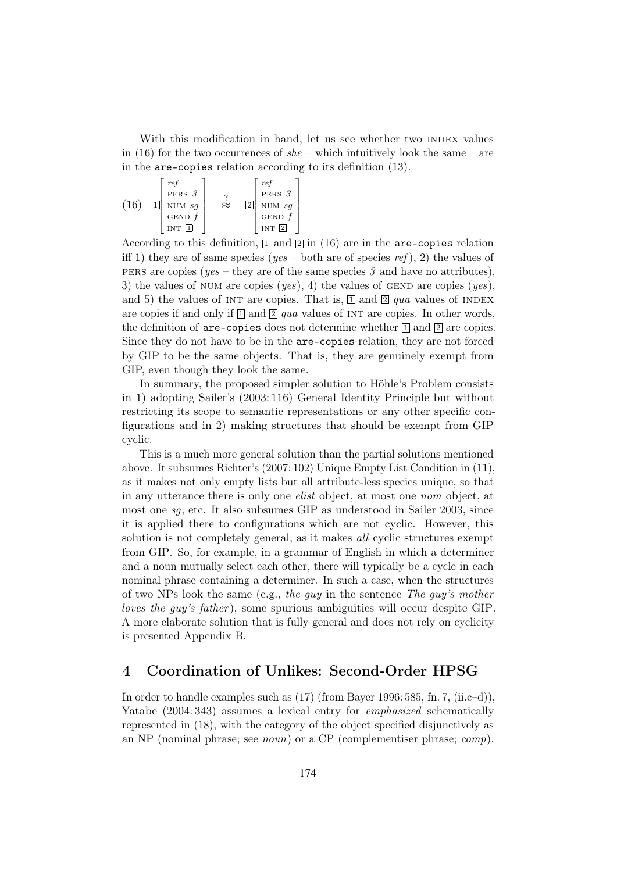With this modification in hand, let us see whether two INDEX values in (16) for the two occurrences of  $she$  – which intuitively look the same – are in the are-copies relation according to its definition (13).

(16) 
$$
\boxed{1}
$$
 
$$
\begin{bmatrix} ref \\ pERS & 3 \\ NUM & sg \\ GEND f \\ INT & \boxed{1} \end{bmatrix}
$$
 
$$
\approx \begin{bmatrix} ref \\ pERS & 3 \\ 2 \\ GEND & 5 \\ INT & \boxed{2} \end{bmatrix}
$$

According to this definition,  $\boxed{1}$  and  $\boxed{2}$  in (16) are in the are-copies relation iff 1) they are of same species (yes – both are of species ref), 2) the values of pers are copies ( $yes$  – they are of the same species 3 and have no attributes), 3) the values of NUM are copies  $(yes)$ , 4) the values of GEND are copies  $(yes)$ , and 5) the values of INT are copies. That is,  $\Box$  and  $\Box$  qua values of INDEX are copies if and only if  $\Box$  and  $\Box$  qua values of INT are copies. In other words, the definition of are-copies does not determine whether  $\mathbb{I}$  and  $\mathbb{I}$  are copies. Since they do not have to be in the are-copies relation, they are not forced by GIP to be the same objects. That is, they are genuinely exempt from GIP, even though they look the same.

In summary, the proposed simpler solution to Höhle's Problem consists in 1) adopting Sailer's (2003: 116) General Identity Principle but without restricting its scope to semantic representations or any other specific configurations and in 2) making structures that should be exempt from GIP cyclic.

This is a much more general solution than the partial solutions mentioned above. It subsumes Richter's (2007: 102) Unique Empty List Condition in (11), as it makes not only empty lists but all attribute-less species unique, so that in any utterance there is only one elist object, at most one nom object, at most one sg, etc. It also subsumes GIP as understood in Sailer 2003, since it is applied there to configurations which are not cyclic. However, this solution is not completely general, as it makes *all* cyclic structures exempt from GIP. So, for example, in a grammar of English in which a determiner and a noun mutually select each other, there will typically be a cycle in each nominal phrase containing a determiner. In such a case, when the structures of two NPs look the same (e.g., the guy in the sentence The guy's mother loves the guy's father), some spurious ambiguities will occur despite GIP. A more elaborate solution that is fully general and does not rely on cyclicity is presented Appendix B.

#### 4 Coordination of Unlikes: Second-Order HPSG

In order to handle examples such as  $(17)$  (from Bayer 1996: 585, fn. 7, (ii.c–d)). Yatabe (2004: 343) assumes a lexical entry for *emphasized* schematically represented in (18), with the category of the object specified disjunctively as an NP (nominal phrase; see noun) or a CP (complementiser phrase; comp).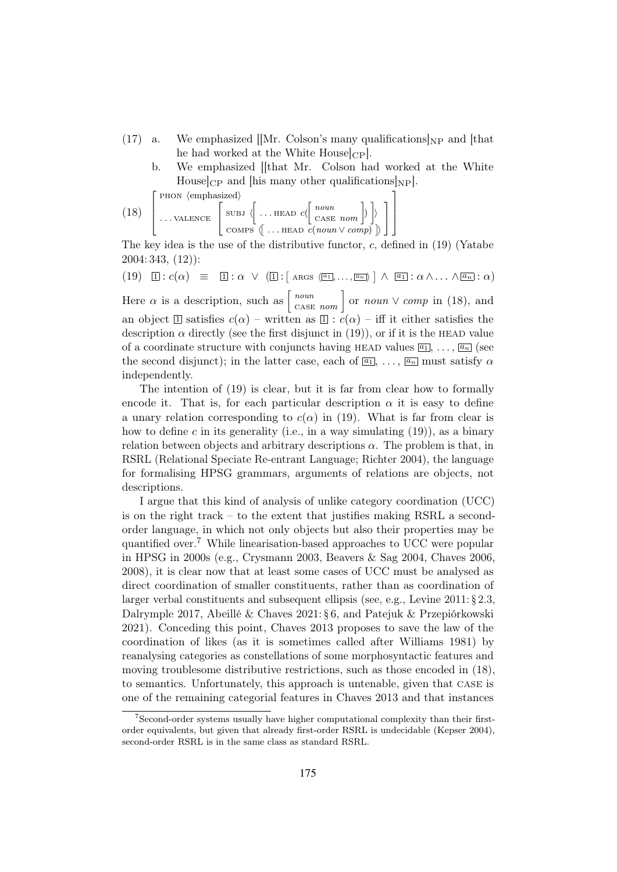- (17) a. We emphasized  $\vert$  Mr. Colson's many qualifications  $\vert_{NP}$  and  $\vert$  that he had worked at the White  $House|_{CP}$ .
	- b. We emphasized [[that Mr. Colson had worked at the White House  $|CP|$  and  $[his]$  many other qualifications  $|NP|$ .

1

 $\int$  PHON  $\langle$ emphasized $\rangle$ 

(18) 
$$
\left[\begin{array}{c} \text{SUBJ} \end{array}\left\{\begin{array}{c} \text{SUBJ} \end{array}\left\{\begin{array}{c} \text{NIBJ} \end{array}\left\{\begin{array}{c} \text{NIBJ} \end{array}\left\{\begin{array}{c} \text{NOL} \end{array}\left\{\begin{array}{c} \text{NOL} \end{array}\left\{\begin{array}{c} \text{NOL} \end{array}\left\{\begin{array}{c} \text{NOL} \end{array}\right\}\right)\right\}\end{array}\right\}\right]
$$

The key idea is the use of the distributive functor, c, defined in (19) (Yatabe 2004: 343, (12)):

$$
(19) \quad \boxed{1}: c(\alpha) \equiv \boxed{1}: \alpha \ \lor \ (\boxed{1}: [\text{ args } \langle \boxed{a_1}, \ldots, \boxed{a_n} \rangle] \ \land \ \boxed{a_1}: \alpha \land \ldots \land \boxed{a_n}: \alpha)
$$

Here  $\alpha$  is a description, such as  $\begin{bmatrix} noun \\ \text{CASE } nom \end{bmatrix}$  or  $noun \vee comp$  in (18), and an object  $\Box$  satisfies  $c(\alpha)$  – written as  $\Box$  :  $c(\alpha)$  – iff it either satisfies the description  $\alpha$  directly (see the first disjunct in (19)), or if it is the HEAD value of a coordinate structure with conjuncts having HEAD values  $\overline{a_1}, \ldots, \overline{a_n}$  (see the second disjunct); in the latter case, each of  $\boxed{a_1}$ , ...,  $\boxed{a_n}$  must satisfy  $\alpha$ independently.

The intention of (19) is clear, but it is far from clear how to formally encode it. That is, for each particular description  $\alpha$  it is easy to define a unary relation corresponding to  $c(\alpha)$  in (19). What is far from clear is how to define c in its generality (i.e., in a way simulating  $(19)$ ), as a binary relation between objects and arbitrary descriptions  $\alpha$ . The problem is that, in RSRL (Relational Speciate Re-entrant Language; Richter 2004), the language for formalising HPSG grammars, arguments of relations are objects, not descriptions.

I argue that this kind of analysis of unlike category coordination (UCC) is on the right track – to the extent that justifies making RSRL a secondorder language, in which not only objects but also their properties may be quantified over.<sup>7</sup> While linearisation-based approaches to UCC were popular in HPSG in 2000s (e.g., Crysmann 2003, Beavers & Sag 2004, Chaves 2006, 2008), it is clear now that at least some cases of UCC must be analysed as direct coordination of smaller constituents, rather than as coordination of larger verbal constituents and subsequent ellipsis (see, e.g., Levine 2011: § 2.3, Dalrymple 2017, Abeillé & Chaves 2021: § 6, and Patejuk & Przepiórkowski 2021). Conceding this point, Chaves 2013 proposes to save the law of the coordination of likes (as it is sometimes called after Williams 1981) by reanalysing categories as constellations of some morphosyntactic features and moving troublesome distributive restrictions, such as those encoded in (18), to semantics. Unfortunately, this approach is untenable, given that case is one of the remaining categorial features in Chaves 2013 and that instances

<sup>7</sup>Second-order systems usually have higher computational complexity than their firstorder equivalents, but given that already first-order RSRL is undecidable (Kepser 2004), second-order RSRL is in the same class as standard RSRL.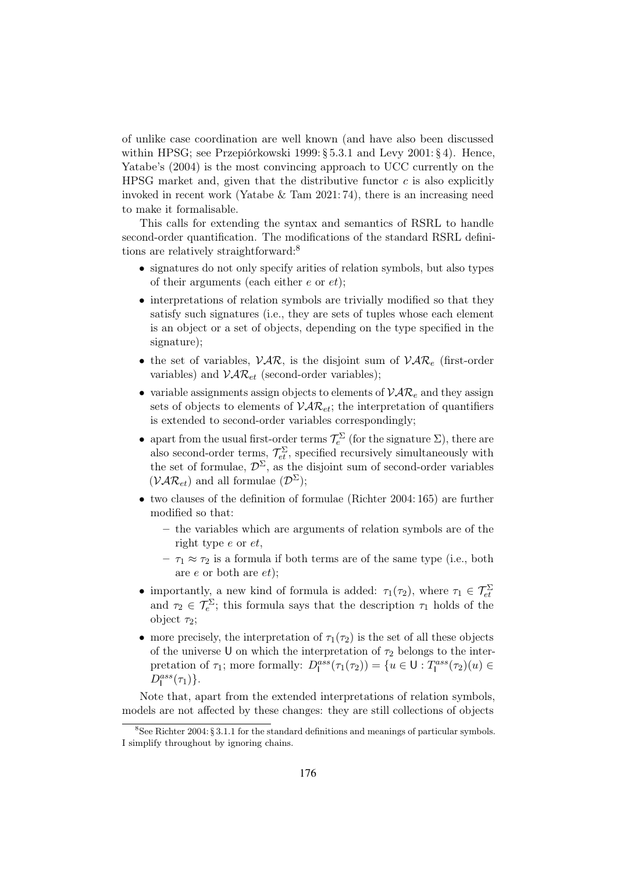of unlike case coordination are well known (and have also been discussed within HPSG; see Przepiórkowski 1999: § 5.3.1 and Levy 2001: § 4). Hence, Yatabe's (2004) is the most convincing approach to UCC currently on the HPSG market and, given that the distributive functor  $c$  is also explicitly invoked in recent work (Yatabe  $\&$  Tam 2021: 74), there is an increasing need to make it formalisable.

This calls for extending the syntax and semantics of RSRL to handle second-order quantification. The modifications of the standard RSRL definitions are relatively straightforward:<sup>8</sup>

- signatures do not only specify arities of relation symbols, but also types of their arguments (each either  $e$  or  $et$ );
- interpretations of relation symbols are trivially modified so that they satisfy such signatures (i.e., they are sets of tuples whose each element is an object or a set of objects, depending on the type specified in the signature);
- the set of variables,  $VAR$ , is the disjoint sum of  $VAR_e$  (first-order variables) and  $\mathcal{VAR}_{et}$  (second-order variables):
- variable assignments assign objects to elements of  $VAR_e$  and they assign sets of objects to elements of  $VAR_{et}$ ; the interpretation of quantifiers is extended to second-order variables correspondingly;
- apart from the usual first-order terms  $\mathcal{T}_e^{\Sigma}$  (for the signature  $\Sigma$ ), there are also second-order terms,  $\mathcal{T}_{et}^{\Sigma}$ , specified recursively simultaneously with the set of formulae,  $\mathcal{D}^{\Sigma}$ , as the disjoint sum of second-order variables  $(\mathcal{VAR}_{et})$  and all formulae  $(\mathcal{D}^{\Sigma})$ ;
- two clauses of the definition of formulae (Richter 2004: 165) are further modified so that:
	- the variables which are arguments of relation symbols are of the right type e or et,
	- $\tau_1 \approx \tau_2$  is a formula if both terms are of the same type (i.e., both are e or both are et);
- importantly, a new kind of formula is added:  $\tau_1(\tau_2)$ , where  $\tau_1 \in \mathcal{T}_{et}^{\Sigma}$ and  $\tau_2 \in \mathcal{T}_e^{\Sigma}$ ; this formula says that the description  $\tau_1$  holds of the object  $\tau_2$ ;
- more precisely, the interpretation of  $\tau_1(\tau_2)$  is the set of all these objects of the universe U on which the interpretation of  $\tau_2$  belongs to the interpretation of  $\tau_1$ ; more formally:  $D_1^{ass}(\tau_1(\tau_2)) = \{u \in U : T_1^{ass}(\tau_2)(u) \in$  $D_{\mathsf{I}}^{ass}(\tau_1)\}.$

Note that, apart from the extended interpretations of relation symbols, models are not affected by these changes: they are still collections of objects

<sup>&</sup>lt;sup>8</sup>See Richter 2004: § 3.1.1 for the standard definitions and meanings of particular symbols. I simplify throughout by ignoring chains.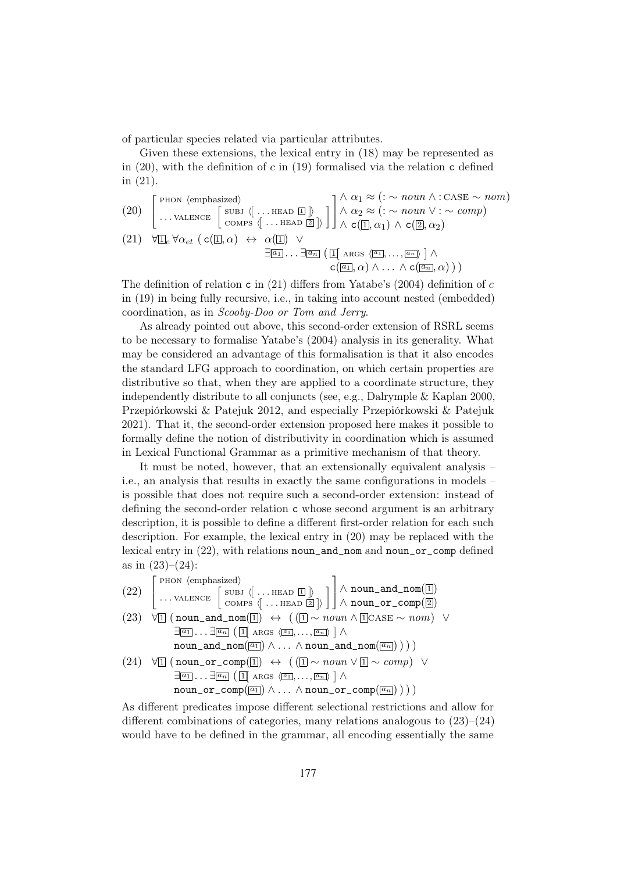of particular species related via particular attributes.

Given these extensions, the lexical entry in (18) may be represented as in  $(20)$ , with the definition of c in  $(19)$  formalised via the relation c defined in (21).

(20) 
$$
\begin{bmatrix} \text{PHON } \langle \text{emphasized} \rangle \\ \dots \text{VALENCE } \begin{bmatrix} \text{SUBJ } \langle \dots \text{HEAD } \Box \end{bmatrix} \rangle \\ \text{OMPS } \langle \dots \text{HEAD } \Box \end{bmatrix} \end{bmatrix} \begin{bmatrix} \wedge \alpha_1 \approx (\because \sim \text{noun } \wedge : \text{CASE } \sim \text{nom}) \\ \wedge \alpha_2 \approx (\because \sim \text{noun } \vee : \sim \text{comp}) \\ \wedge \text{c}(\Box, \alpha_1) \wedge \text{c}(\Box, \alpha_2) \end{bmatrix}
$$
  
(21) 
$$
\forall \Box_e \forall \alpha_{et} \ (\text{c}(\Box, \alpha) \leftrightarrow \alpha(\Box) \ \vee \ \Box(\Box, \alpha_1) \wedge \text{c}(\Box, \dots, \Box \text{max}) \ \wedge \\ \Box(\Box, \alpha) \wedge \dots \wedge \text{c}(\Box, \alpha)) \ )
$$

The definition of relation c in  $(21)$  differs from Yatabe's  $(2004)$  definition of c in (19) in being fully recursive, i.e., in taking into account nested (embedded) coordination, as in Scooby-Doo or Tom and Jerry.

As already pointed out above, this second-order extension of RSRL seems to be necessary to formalise Yatabe's (2004) analysis in its generality. What may be considered an advantage of this formalisation is that it also encodes the standard LFG approach to coordination, on which certain properties are distributive so that, when they are applied to a coordinate structure, they independently distribute to all conjuncts (see, e.g., Dalrymple & Kaplan 2000, Przepiórkowski & Patejuk 2012, and especially Przepiórkowski & Patejuk 2021). That it, the second-order extension proposed here makes it possible to formally define the notion of distributivity in coordination which is assumed in Lexical Functional Grammar as a primitive mechanism of that theory.

It must be noted, however, that an extensionally equivalent analysis – i.e., an analysis that results in exactly the same configurations in models – is possible that does not require such a second-order extension: instead of defining the second-order relation c whose second argument is an arbitrary description, it is possible to define a different first-order relation for each such description. For example, the lexical entry in (20) may be replaced with the lexical entry in (22), with relations noun\_and\_nom and noun\_or\_comp defined as in  $(23)-(24)$ :

(22) 
$$
\begin{bmatrix} \text{PHON (emphasized)} \\ \dots \text{VALENCE} \begin{bmatrix} \text{SUBJ} \langle \dots \text{HEAD } \overline{\mathbf{1}} \rangle \\ \text{COMPS} \langle \dots \text{HEAD } \overline{\mathbf{2}} \rangle \end{bmatrix} \end{bmatrix} \wedge \text{noun\_and\_nom}(\overline{\mathbf{1}})
$$
  
(23) 
$$
\forall \overline{\mathbf{1}} \text{ (noun\_and\_nom}(\overline{\mathbf{1}}) \leftrightarrow (\overline{\mathbf{1}} \sim \text{noun} \land \overline{\mathbf{1}} \text{CASE} \sim \text{nom}) \lor \overline{\exists} \overline{\mathbf{a}}_1 \dots \overline{\exists} \overline{\mathbf{a}}_n (\overline{\mathbf{1}} \land \text{RRS } \langle \overline{\mathbf{a}}_1, \dots, \overline{\mathbf{a}}_n) \land \overline{\mathbf{a}}_n \text{ noun\_and\_nom}(\overline{\mathbf{a}}_1) \land \cdots \land \overline{\mathbf{a}}_n \text{and\_nom}(\overline{\mathbf{a}}_n)) ) )
$$
  
(24) 
$$
\forall \overline{\mathbf{1}} \text{ (noun\_or\_comp}(\overline{\mathbf{1}}) \leftrightarrow ((\overline{\mathbf{1}} \sim \text{noun} \lor \overline{\mathbf{1}} \sim \text{comp}) \lor \overline{\mathbf{a}}_1 \dots \overline{\mathbf{a}}_n (\overline{\mathbf{1}} \land \text{RRS } \langle \overline{\mathbf{a}}_1, \dots, \overline{\mathbf{a}}_n) \land \overline{\mathbf{a}}_n \text{oun\_or\_comp}(\overline{\mathbf{a}}_1) \land \cdots \land \overline{\mathbf{a}}_n \text{our\_or\_comp}(\overline{\mathbf{a}}_n)) ) )
$$

As different predicates impose different selectional restrictions and allow for different combinations of categories, many relations analogous to  $(23)$ – $(24)$ would have to be defined in the grammar, all encoding essentially the same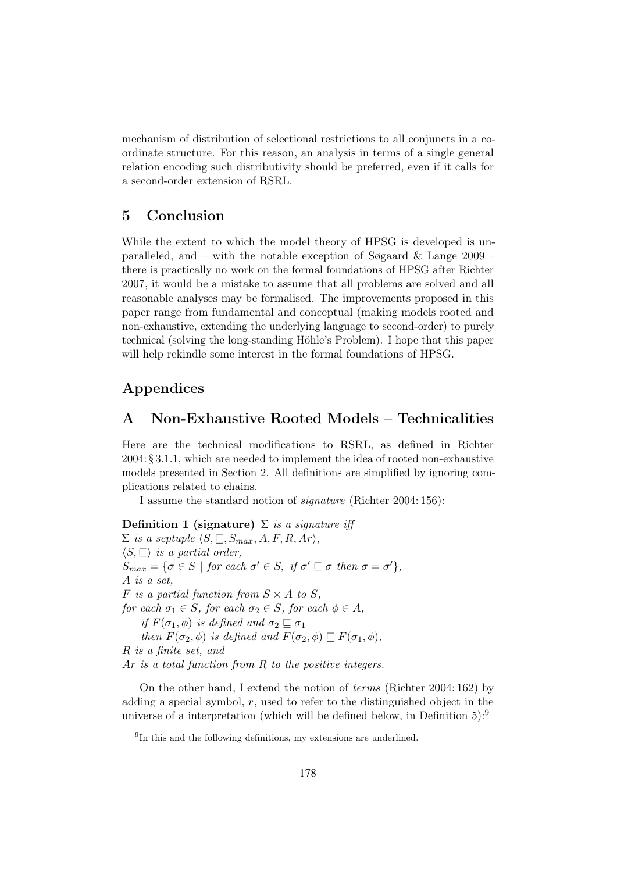mechanism of distribution of selectional restrictions to all conjuncts in a coordinate structure. For this reason, an analysis in terms of a single general relation encoding such distributivity should be preferred, even if it calls for a second-order extension of RSRL.

#### 5 Conclusion

While the extent to which the model theory of HPSG is developed is unparalleled, and – with the notable exception of Søgaard  $\&$  Lange 2009 – there is practically no work on the formal foundations of HPSG after Richter 2007, it would be a mistake to assume that all problems are solved and all reasonable analyses may be formalised. The improvements proposed in this paper range from fundamental and conceptual (making models rooted and non-exhaustive, extending the underlying language to second-order) to purely technical (solving the long-standing Höhle's Problem). I hope that this paper will help rekindle some interest in the formal foundations of HPSG.

## Appendices

## A Non-Exhaustive Rooted Models – Technicalities

Here are the technical modifications to RSRL, as defined in Richter 2004: § 3.1.1, which are needed to implement the idea of rooted non-exhaustive models presented in Section 2. All definitions are simplified by ignoring complications related to chains.

I assume the standard notion of signature (Richter 2004: 156):

Definition 1 (signature)  $\Sigma$  is a signature iff  $\Sigma$  is a septuple  $\langle S, \sqsubseteq, S_{max}, A, F, R, Ar \rangle$ ,  $\langle S, \sqsubseteq \rangle$  is a partial order,  $S_{max} = \{ \sigma \in S \mid \text{for each } \sigma' \in S, \text{ if } \sigma' \sqsubseteq \sigma \text{ then } \sigma = \sigma' \},\$ A is a set, F is a partial function from  $S \times A$  to S, for each  $\sigma_1 \in S$ , for each  $\sigma_2 \in S$ , for each  $\phi \in A$ , if  $F(\sigma_1, \phi)$  is defined and  $\sigma_2 \sqsubseteq \sigma_1$ then  $F(\sigma_2, \phi)$  is defined and  $F(\sigma_2, \phi) \sqsubseteq F(\sigma_1, \phi)$ , R is a finite set, and Ar is a total function from R to the positive integers.

On the other hand, I extend the notion of terms (Richter 2004: 162) by adding a special symbol, r, used to refer to the distinguished object in the universe of a interpretation (which will be defined below, in Definition  $5$ ):<sup>9</sup>

<sup>&</sup>lt;sup>9</sup>In this and the following definitions, my extensions are underlined.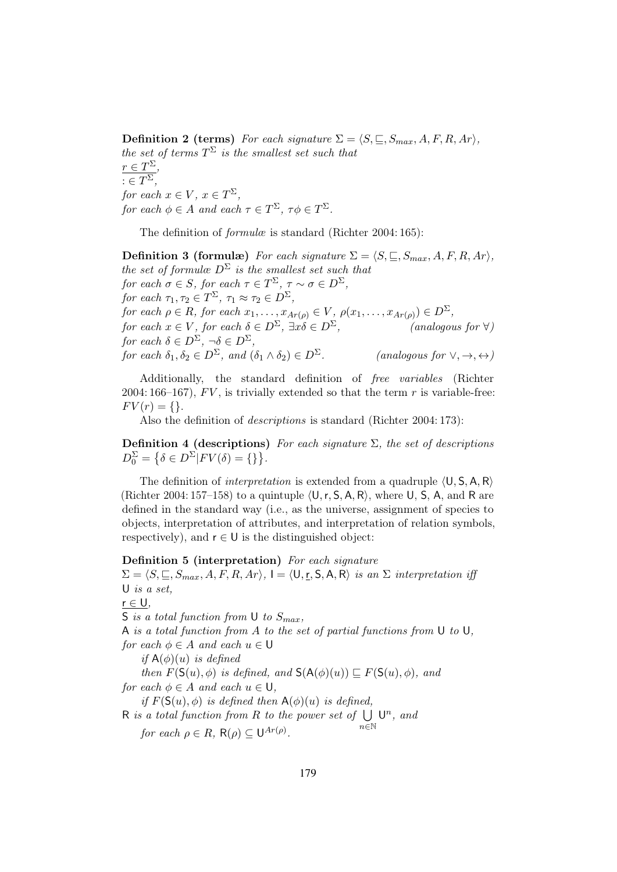**Definition 2 (terms)** For each signature  $\Sigma = \langle S, \subseteq, S_{max}, A, F, R, Ar \rangle$ , the set of terms  $T^{\Sigma}$  is the smallest set such that  $r \in T^{\Sigma}_{\overline{\Sigma}},$  $: \in T^{\Sigma},$ for each  $x \in V$ ,  $x \in T^{\Sigma}$ , for each  $\phi \in A$  and each  $\tau \in T^{\Sigma}$ ,  $\tau \phi \in T^{\Sigma}$ .

The definition of *formulæ* is standard (Richter 2004: 165):

**Definition 3 (formulæ)** For each signature  $\Sigma = \langle S, \subseteq, S_{max}, A, F, R, Ar \rangle$ , the set of formulæ  $D^{\Sigma}$  is the smallest set such that for each  $\sigma \in S$ , for each  $\tau \in T^{\Sigma}$ ,  $\tau \sim \sigma \in D^{\Sigma}$ , for each  $\tau_1, \tau_2 \in T^{\Sigma}, \tau_1 \approx \tau_2 \in D^{\Sigma},$ for each  $\rho \in R$ , for each  $x_1, \ldots, x_{Ar(\rho)} \in V$ ,  $\rho(x_1, \ldots, x_{Ar(\rho)}) \in D^{\Sigma}$ , for each  $x \in V$ , for each  $\delta \in D^{\Sigma}$ ,  $\exists x \delta \in D^{\Sigma}$ , (analogous for  $\forall$ ) for each  $\delta \in D^{\Sigma}, \ \neg \delta \in D^{\Sigma}$ , for each  $\delta_1, \delta_2 \in D^{\Sigma}$ , and  $(\delta_1 \wedge \delta_2) \in D^{\Sigma}$ . (analogous for  $\vee, \rightarrow, \leftrightarrow$ )

Additionally, the standard definition of free variables (Richter 2004: 166–167),  $FV$ , is trivially extended so that the term r is variable-free:  $FV(r) = \{\}.$ 

Also the definition of descriptions is standard (Richter 2004: 173):

Definition 4 (descriptions) For each signature  $\Sigma$ , the set of descriptions  $D_0^{\Sigma} = \{\delta \in D^{\Sigma} | FV(\delta) = \{\}\}.$ 

The definition of *interpretation* is extended from a quadruple  $(U, S, A, R)$ (Richter 2004: 157–158) to a quintuple  $\langle U, r, S, A, R \rangle$ , where U, S, A, and R are defined in the standard way (i.e., as the universe, assignment of species to objects, interpretation of attributes, and interpretation of relation symbols, respectively), and  $r \in U$  is the distinguished object:

#### Definition 5 (interpretation) For each signature

 $\Sigma = \langle S, \sqsubseteq, S_{max}, A, F, R, Ar \rangle, I = \langle \mathsf{U}, \mathsf{r}, \mathsf{S}, \mathsf{A}, \mathsf{R} \rangle$  is an  $\Sigma$  interpretation iff U is a set,  $r \in U$ ,

S is a total function from U to  $S_{max}$ ,

A is a total function from A to the set of partial functions from U to U, for each  $\phi \in A$  and each  $u \in U$ 

if  $A(\phi)(u)$  is defined

then  $F(\mathsf{S}(u), \phi)$  is defined, and  $\mathsf{S}(\mathsf{A}(\phi)(u)) \sqsubseteq F(\mathsf{S}(u), \phi)$ , and for each  $\phi \in A$  and each  $u \in U$ ,

if  $F(S(u), \phi)$  is defined then  $A(\phi)(u)$  is defined,

R is a total function from R to the power set of  $\bigcup U^n$ , and n∈N

for each  $\rho \in R$ ,  $\mathsf{R}(\rho) \subseteq \mathsf{U}^{Ar(\rho)}$ .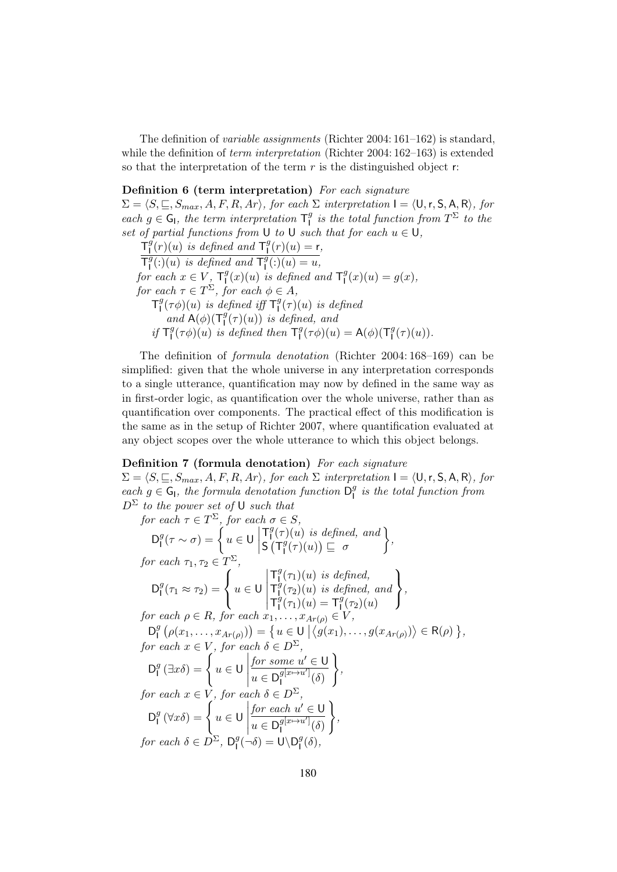The definition of *variable assignments* (Richter 2004:  $161-162$ ) is standard, while the definition of *term interpretation* (Richter 2004: 162–163) is extended so that the interpretation of the term  $r$  is the distinguished object  $r$ :

#### Definition 6 (term interpretation) For each signature

 $\Sigma = \langle S, \sqsubseteq, S_{max}, A, F, R, Ar \rangle$ , for each  $\Sigma$  interpretation  $I = \langle U, r, S, A, R \rangle$ , for each  $g \in G_I$ , the term interpretation  $T_I^g$  $\frac{g}{\Box}$  is the total function from  $T^{\Sigma}$  to the set of partial functions from U to U such that for each  $u \in U$ ,

 $\mathsf{T}_{\mathsf{I}}^g(r)(u)$  is defined and  $\mathsf{T}_{\mathsf{I}}^g(r)(u) = \mathsf{r},$  $\frac{1}{2}$  $\overline{\mathsf{T}^g_{\mathsf{I}}}$  $\frac{g}{\Gamma(2)}(u)$  is defined and  $\mathsf{T}_1^g$  $\binom{g}{1}$ : $)(u) = u,$ for each  $x \in V$ ,  $\mathsf{T}_1^g$  $\int_1^g(x)(u)$  is defined and  $\mathsf{T}_1^g$  $J_1^g(x)(u) = g(x),$ for each  $\tau \in T^{\Sigma}$ , for each  $\phi \in A$ ,  $\mathsf{T}_1^g$  $\int_{I}^{g} (\tau \phi)(u)$  is defined iff  $\mathsf{T}^{g}_{I}$  $\int_{1}^{g}(\tau)(u)$  is defined and  $A(\phi)(T_1^g(\tau)(u))$  is defined, and if  $T_1^g(\tau\phi)(u)$  is  $\int_{\mathsf{I}}^g(\tau\phi)(u)$  is defined then  $\mathsf{T}^g_{\mathsf{I}}$  $I_I^g(\tau\phi)(u) = \mathsf{A}(\phi)(\mathsf{T}_I^g)$  $\int_1^g(\tau)(u)).$ 

The definition of formula denotation (Richter 2004: 168–169) can be simplified: given that the whole universe in any interpretation corresponds to a single utterance, quantification may now by defined in the same way as in first-order logic, as quantification over the whole universe, rather than as quantification over components. The practical effect of this modification is the same as in the setup of Richter 2007, where quantification evaluated at any object scopes over the whole utterance to which this object belongs.

#### Definition 7 (formula denotation) For each signature

 $\Sigma = \langle S, \sqsubseteq, S_{max}, A, F, R, Ar \rangle$ , for each  $\Sigma$  interpretation  $I = \langle U, r, S, A, R \rangle$ , for each  $g \in G_I$ , the formula denotation function  $\bar{D}_I^g$  $\frac{g}{1}$  is the total function from  $D^{\Sigma}$  to the power set of U such that

for each  $\tau \in T^{\Sigma}$ , for each  $\sigma \in S$ ,  $D^g_1$  $\int_0^g (\tau \sim \sigma) = \int_0^{\tau} u \in U$  $\begin{array}{c} \begin{array}{c} \begin{array}{c} \end{array} \\ \begin{array}{c} \end{array} \end{array} \end{array}$  $T_1^g$  $\int_1^g(\tau)(u)$  is defined, and  $S(T_1^{\hat{g}})$  $\frac{g}{\Gamma}(\tau)(u)\Big) \sqsubseteq \sigma$  $\mathcal{L}$ , for each  $\tau_1, \tau_2 \in T^{\Sigma}$ ,  $D^g_1$  $I_1^g(\tau_1 \approx \tau_2) =$  $\sqrt{ }$  $\mathbf{J}$  $\mathbf{I}$  $u \in \mathsf{U}$   $T_1^g$  $\int_1^g(\tau_1)(u)$  is defined,  $T_1^g$  $\int_1^g(\tau_2)(u)$  is defined, and  $T_1^g$  $\int_{1}^{g}(\tau_{1})(u) = \mathsf{T}_{1}^{g}$  $\int_1^g(\tau_2)(u)$  $\lambda$  $\mathbf{I}$  $\frac{1}{2}$ , for each  $\rho \in R$ , for each  $x_1, \ldots, x_{Ar(\rho)} \in V$ ,  $D^g_1$  $\mathcal{L}^{g}_{\mathsf{I}}(\rho(x_1,\ldots,x_{Ar(\rho)})) = \{u \in \mathsf{U} \mid \langle g(x_1),\ldots,g(x_{Ar(\rho)}) \rangle \in \mathsf{R}(\rho) \},$ for each  $x \in V$ , for each  $\delta \in D^{\Sigma}$ ,  $D^g_1$  $\int_1^g (\exists x \delta) = \begin{cases} u \in \mathsf{U} \end{cases}$  $\begin{array}{c} \begin{array}{c} \begin{array}{c} \end{array} \\ \begin{array}{c} \end{array} \end{array} \end{array}$  $for some u' \in U$ </u>  $u \in D_{\mathsf{I}}^{g[x \mapsto u']}$  $\int_{1}^{g(x\mapsto u)}(\delta)$  $\lambda$ , for each  $x \in V$ , for each  $\delta \in D^{\Sigma}$ ,  $D^g_1$  $\int_{1}^{g} (\forall x \delta) = \begin{cases} u \in \mathsf{U} \end{cases}$  $\begin{array}{c} \begin{array}{c} \begin{array}{c} \end{array} \\ \begin{array}{c} \end{array} \end{array} \end{array}$  $\underline{for}$  each  $u' \in U$  $u \in D_{\mathsf{I}}^{g[x \mapsto u']}$  $\int_{1}^{g(x\mapsto u)}(\delta)$  $\lambda$ , for each  $\delta \in D^{\Sigma}$ ,  $\mathsf{D}_{\mathsf{I}}^{\mathsf{g}}$  $\int_{I}^{g}(-\delta) = U \backslash D_{I}^{g}$ I  $(\delta),$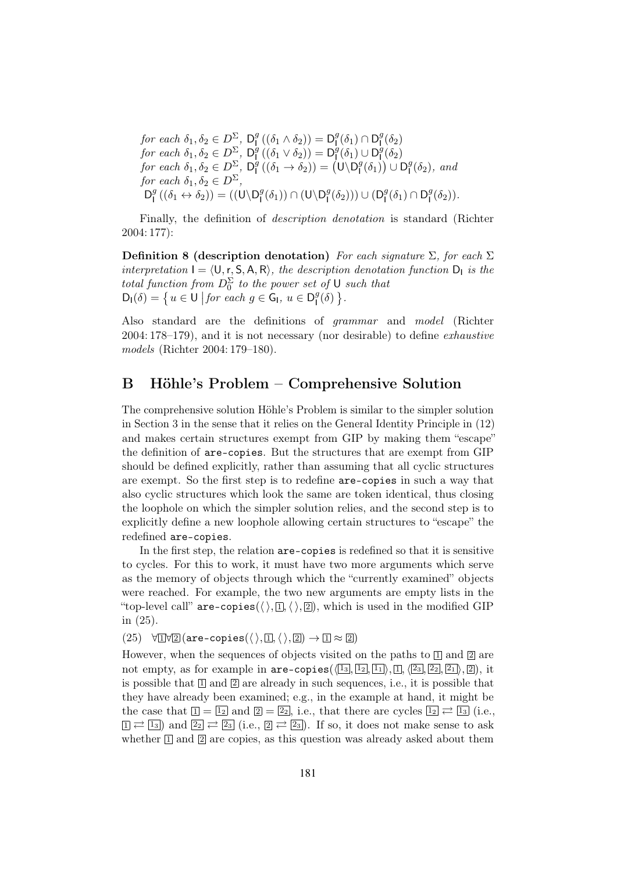for each  $\delta_1, \delta_2 \in D^{\Sigma}$ ,  $\mathsf{D}_{\mathsf{I}}^9$  $\mathsf{D}^g_{\mathsf{I}}\left((\delta_1 \wedge \delta_2)\right) = \mathsf{D}^g_{\mathsf{I}}$  $\prod_{i=1}^{g}(\delta_{1})\cap\mathsf{D}_{\mathsf{I}_{\mathsf{I}}}^{g}$  $\frac{g}{\Gamma}(\delta_2)$ for each  $\delta_1, \delta_2 \in D^{\Sigma}$ ,  $\mathsf{D}^{\mathsf{g}}$  $\frac{g}{\Gamma}((\delta_1 \vee \delta_2)) = \mathsf{D}_1^g$  $\int_{1}^{g}(\delta_{1})\cup\mathsf{D}_{1}^{g}$  $\frac{y}{1}(\delta_2)$ for each  $\delta_1, \delta_2 \in D^{\Sigma}$ ,  $\mathsf{D}^g$  $\mathbf{I}^g((\delta_1 \to \delta_2)) = (\mathsf{U} \setminus \mathsf{D}_1^g)$  $\binom{g}{1}$   $\cup$   $\mathsf{D}_1^g$  $_{1}^{g}(\delta _{2}),$  and for each  $\delta_1, \delta_2 \in D^{\Sigma}$ ,  $D^g_1$  $\int_{I}^{g} ((\delta_1 \leftrightarrow \delta_2)) = ((\mathsf{U} \setminus \mathsf{D}_{I}^{g}))$  $\mathsf{I}^g(\delta_1)$ )  $\cap$   $(\mathsf{U}\backslash\mathsf{D}_\mathsf{I}^g)$  $\binom{g}{1}(\delta_2))\cup(\mathsf{D}_\mathsf{I}^g)$  $I^g(\delta_1) \cap D^g_I$  $_{1}^{g}(\delta_{2})).$ 

Finally, the definition of description denotation is standard (Richter 2004: 177):

Definition 8 (description denotation) For each signature  $\Sigma$ , for each  $\Sigma$ interpretation  $I = \langle U, r, S, A, R \rangle$ , the description denotation function  $D_1$  is the total function from  $D_0^{\Sigma}$  to the power set of U such that  $D_l(\delta) = \left\{ u \in U \middle| \text{for each } g \in G_l, u \in D_l^g \right\}$  $_{1}^{g}(\delta)$  }.

Also standard are the definitions of grammar and model (Richter 2004: 178–179), and it is not necessary (nor desirable) to define exhaustive models (Richter 2004: 179–180).

## B Höhle's Problem – Comprehensive Solution

The comprehensive solution Höhle's Problem is similar to the simpler solution in Section 3 in the sense that it relies on the General Identity Principle in (12) and makes certain structures exempt from GIP by making them "escape" the definition of are-copies. But the structures that are exempt from GIP should be defined explicitly, rather than assuming that all cyclic structures are exempt. So the first step is to redefine are-copies in such a way that also cyclic structures which look the same are token identical, thus closing the loophole on which the simpler solution relies, and the second step is to explicitly define a new loophole allowing certain structures to "escape" the redefined are-copies.

In the first step, the relation are-copies is redefined so that it is sensitive to cycles. For this to work, it must have two more arguments which serve as the memory of objects through which the "currently examined" objects were reached. For example, the two new arguments are empty lists in the "top-level call" are-copies( $\langle \rangle$ ,  $\mathbb{I}, \langle \rangle$ ,  $\mathbb{Z}$ ), which is used in the modified GIP in (25).

 $(25)$   $\forall \exists \forall \exists (\text{are-copies}(\langle \rangle, \Box, \langle \rangle, \Box) \rightarrow \Box \approx \Box)$ 

However, when the sequences of objects visited on the paths to  $\boxed{1}$  and  $\boxed{2}$  are not empty, as for example in  $are-copies(\langle 1_3, 1_2, 1_1 \rangle, \langle 1_1, \langle 2_3, 2_2, 2_1 \rangle, \langle 2] \rangle$ , it is possible that  $\boxed{1}$  and  $\boxed{2}$  are already in such sequences, i.e., it is possible that they have already been examined; e.g., in the example at hand, it might be the case that  $\boxed{1} = \boxed{1_2}$  and  $\boxed{2} = \boxed{2_2}$ , i.e., that there are cycles  $\boxed{1_2} \rightleftarrows \boxed{1_3}$  (i.e.,  $\Box \rightleftarrows \Box$  and  $\Box$   $\rightleftarrows \Box$  (i.e.,  $\Box \rightleftarrows \Box$ ). If so, it does not make sense to ask whether  $\mathbb{I}$  and  $\mathbb{Z}$  are copies, as this question was already asked about them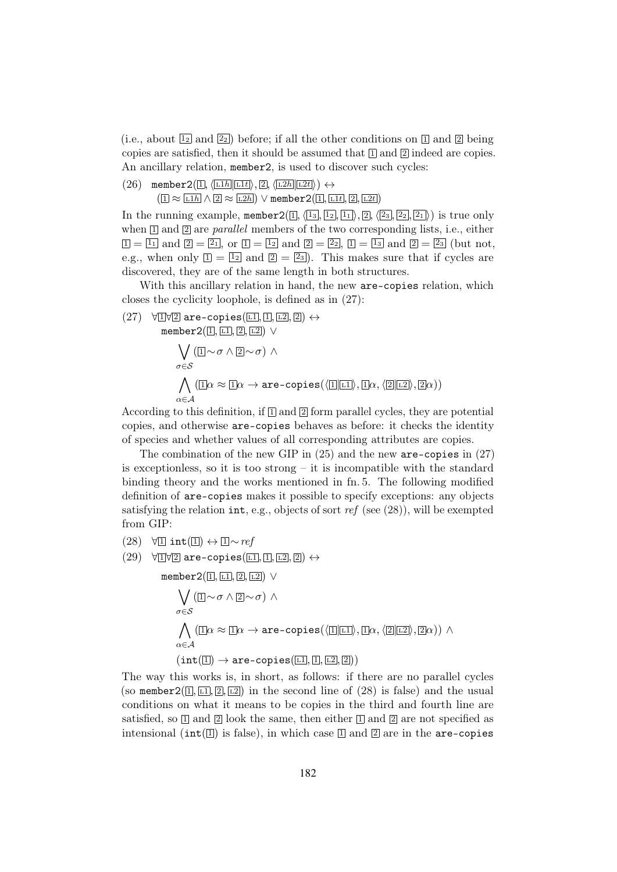(i.e., about  $\boxed{12}$  and  $\boxed{22}$ ) before; if all the other conditions on  $\boxed{1}$  and  $\boxed{2}$  being copies are satisfied, then it should be assumed that  $\mathbb{I}$  and  $\mathbb{I}$  indeed are copies. An ancillary relation, member2, is used to discover such cycles:

 $(26)$  member  $2(\text{I}, \langle \text{L1h} | \text{L1t} \rangle, \text{2}, \langle \text{L2h} | \text{L2t} \rangle) \leftrightarrow$ 

 $(1 \approx \boxed{11h} \wedge [2 \approx \boxed{12h}) \vee \text{member2}([1, \boxed{11t}, [2], \boxed{12t})$ 

In the running example, member  $2([1, \langle 1_3, 1_2, 1_1 \rangle, 2], \langle 2_3, 2_2, 2_1 \rangle)$  is true only when  $\mathbb{I}$  and  $\mathbb{I}$  are parallel members of the two corresponding lists, i.e., either  $\boxed{1} = \boxed{1_1}$  and  $\boxed{2} = \boxed{2_1}$ , or  $\boxed{1} = \boxed{1_2}$  and  $\boxed{2} = \boxed{2_2}$ ,  $\boxed{1} = \boxed{1_3}$  and  $\boxed{2} = \boxed{2_3}$  (but not, e.g., when only  $\boxed{1} = \boxed{1_2}$  and  $\boxed{2} = \boxed{2_3}$ . This makes sure that if cycles are discovered, they are of the same length in both structures.

With this ancillary relation in hand, the new are-copies relation, which closes the cyclicity loophole, is defined as in (27):

 $(27)$   $\forall$  1 $\forall$  2 are-copies([L1, [1, [L2, [2]) ↔ member  $2([1], [1], [2], [1,2]) \vee$  $\sqrt{2}$ σ∈S  $( \mathbb{I} \sim \sigma \wedge \mathbb{Z} \sim \sigma ) \wedge$  $\bigwedge\ (\text{I}\exists \alpha \approx \text{I}\exists \alpha \rightarrow \texttt{are-copies}(\langle\text{I}\exists |\text{L1}\rangle, \text{I}\exists \alpha, \langle\text{2}||\text{L2}\rangle, \text{I}\exists \alpha))$  $\alpha \in \mathcal{A}$ 

According to this definition, if  $\Box$  and  $\Box$  form parallel cycles, they are potential copies, and otherwise are-copies behaves as before: it checks the identity of species and whether values of all corresponding attributes are copies.

The combination of the new GIP in  $(25)$  and the new are-copies in  $(27)$ is exceptionless, so it is too strong  $-$  it is incompatible with the standard binding theory and the works mentioned in fn. 5. The following modified definition of are-copies makes it possible to specify exceptions: any objects satisfying the relation  $int$ , e.g., objects of sort ref (see (28)), will be exempted from GIP:

- $(28)$   $\forall$  1 int(1) ↔ 1 ~ ref
- $(29)$   $\forall$  1 $\forall$  2 are-copies( $\boxed{L1}, \boxed{1}, \boxed{L2}, \boxed{2}$ )  $\leftrightarrow$

member  $2(1, 1, 2, 2)$   $\vee$ 

$$
\begin{aligned} & \bigvee_{\sigma \in \mathcal{S}} (\mathbb{I} \sim \sigma \wedge \mathbb{Z} \sim \sigma) \wedge \\ & \bigwedge_{\alpha \in \mathcal{A}} (\mathbb{I} \alpha \approx \mathbb{I} \alpha \rightarrow \texttt{are-copies}(\langle \mathbb{I} | \mathbb{II} \rangle, \mathbb{I} \alpha, \langle \mathbb{Z} | \mathbb{I} \mathbb{Z} \rangle, \mathbb{Z} \alpha)) \wedge \\ & \quad (\texttt{int}(\mathbb{I}) \rightarrow \texttt{are-copies}(\mathbb{I} \mathbb{I}, \mathbb{I}, \mathbb{I} \mathbb{Z}, \mathbb{Z})) \end{aligned}
$$

The way this works is, in short, as follows: if there are no parallel cycles (so member  $2(\mathbb{I}, \mathbb{I}, \mathbb{Z}, \mathbb{Z})$ ) in the second line of (28) is false) and the usual conditions on what it means to be copies in the third and fourth line are satisfied, so  $\Box$  and  $\Box$  look the same, then either  $\Box$  and  $\Box$  are not specified as intensional ( $int(\mathbb{I})$  is false), in which case  $\mathbb{I}$  and  $\mathbb{I}$  are in the are-copies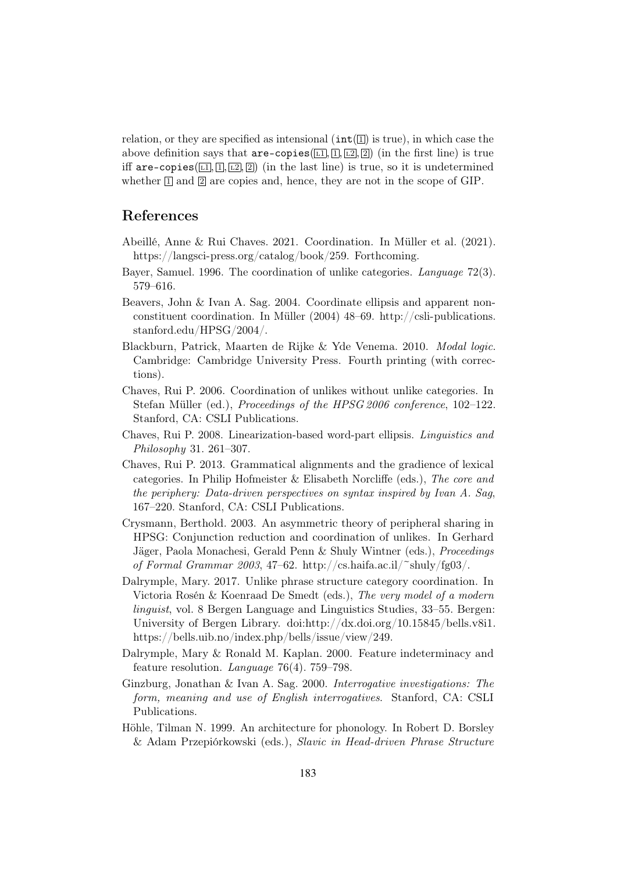relation, or they are specified as intensional  $(int(1)$  is true), in which case the above definition says that  $are-copies(\overline{11}, \overline{11}, \overline{12}, \overline{21})$  (in the first line) is true iff are-copies( $\overline{[L_1]}, \overline{[L]}, \overline{[2]}, \overline{[2]})$  (in the last line) is true, so it is undetermined whether  $\mathbb{I}$  and  $\mathbb{I}$  are copies and, hence, they are not in the scope of GIP.

#### References

- Abeillé, Anne & Rui Chaves. 2021. Coordination. In Müller et al. (2021). https://langsci-press.org/catalog/book/259. Forthcoming.
- Bayer, Samuel. 1996. The coordination of unlike categories. Language 72(3). 579–616.
- Beavers, John & Ivan A. Sag. 2004. Coordinate ellipsis and apparent nonconstituent coordination. In Müller (2004) 48–69. http://csli-publications. stanford.edu/HPSG/2004/.
- Blackburn, Patrick, Maarten de Rijke & Yde Venema. 2010. Modal logic. Cambridge: Cambridge University Press. Fourth printing (with corrections).
- Chaves, Rui P. 2006. Coordination of unlikes without unlike categories. In Stefan Müller (ed.), Proceedings of the HPSG 2006 conference, 102-122. Stanford, CA: CSLI Publications.
- Chaves, Rui P. 2008. Linearization-based word-part ellipsis. Linguistics and Philosophy 31. 261–307.
- Chaves, Rui P. 2013. Grammatical alignments and the gradience of lexical categories. In Philip Hofmeister & Elisabeth Norcliffe (eds.), The core and the periphery: Data-driven perspectives on syntax inspired by Ivan A. Sag, 167–220. Stanford, CA: CSLI Publications.
- Crysmann, Berthold. 2003. An asymmetric theory of peripheral sharing in HPSG: Conjunction reduction and coordination of unlikes. In Gerhard Jäger, Paola Monachesi, Gerald Penn & Shuly Wintner (eds.), Proceedings of Formal Grammar 2003, 47–62. http://cs.haifa.ac.il/~shuly/fg03/.
- Dalrymple, Mary. 2017. Unlike phrase structure category coordination. In Victoria Rosén & Koenraad De Smedt (eds.), The very model of a modern linguist, vol. 8 Bergen Language and Linguistics Studies, 33–55. Bergen: University of Bergen Library. doi:http://dx.doi.org/10.15845/bells.v8i1. https://bells.uib.no/index.php/bells/issue/view/249.
- Dalrymple, Mary & Ronald M. Kaplan. 2000. Feature indeterminacy and feature resolution. Language 76(4). 759–798.
- Ginzburg, Jonathan & Ivan A. Sag. 2000. Interrogative investigations: The form, meaning and use of English interrogatives. Stanford, CA: CSLI Publications.
- Höhle, Tilman N. 1999. An architecture for phonology. In Robert D. Borsley & Adam Przepiórkowski (eds.), Slavic in Head-driven Phrase Structure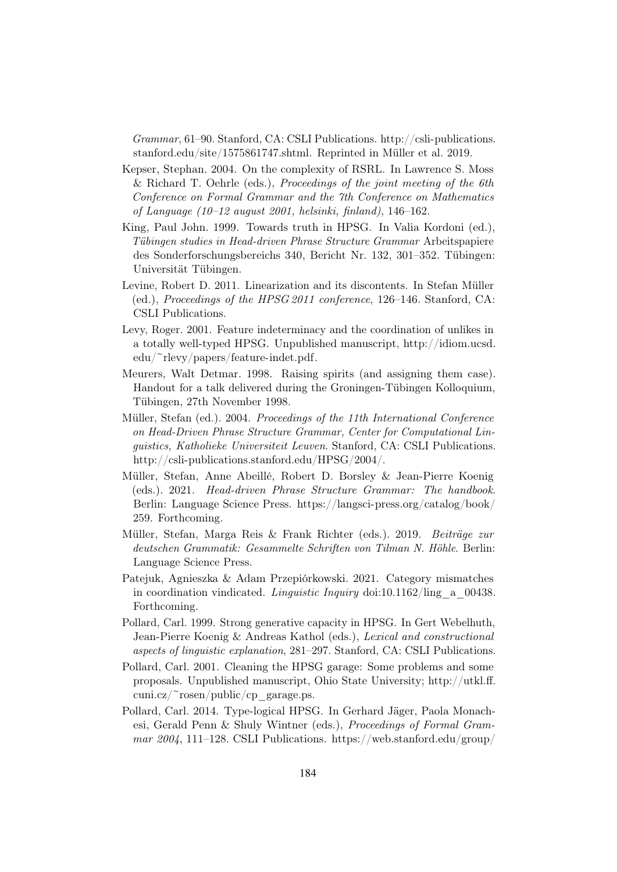Grammar, 61–90. Stanford, CA: CSLI Publications. http://csli-publications. stanford.edu/site/1575861747.shtml. Reprinted in Müller et al. 2019.

- Kepser, Stephan. 2004. On the complexity of RSRL. In Lawrence S. Moss & Richard T. Oehrle (eds.), Proceedings of the joint meeting of the 6th Conference on Formal Grammar and the 7th Conference on Mathematics of Language (10–12 august 2001, helsinki, finland), 146–162.
- King, Paul John. 1999. Towards truth in HPSG. In Valia Kordoni (ed.), Tübingen studies in Head-driven Phrase Structure Grammar Arbeitspapiere des Sonderforschungsbereichs 340, Bericht Nr. 132, 301–352. Tübingen: Universität Tübingen.
- Levine, Robert D. 2011. Linearization and its discontents. In Stefan Müller (ed.), Proceedings of the HPSG 2011 conference, 126–146. Stanford, CA: CSLI Publications.
- Levy, Roger. 2001. Feature indeterminacy and the coordination of unlikes in a totally well-typed HPSG. Unpublished manuscript, http://idiom.ucsd. edu/~rlevy/papers/feature-indet.pdf.
- Meurers, Walt Detmar. 1998. Raising spirits (and assigning them case). Handout for a talk delivered during the Groningen-Tübingen Kolloquium, Tübingen, 27th November 1998.
- Müller, Stefan (ed.). 2004. Proceedings of the 11th International Conference on Head-Driven Phrase Structure Grammar, Center for Computational Linguistics, Katholieke Universiteit Leuven. Stanford, CA: CSLI Publications. http://csli-publications.stanford.edu/HPSG/2004/.
- Müller, Stefan, Anne Abeillé, Robert D. Borsley & Jean-Pierre Koenig (eds.). 2021. Head-driven Phrase Structure Grammar: The handbook. Berlin: Language Science Press. https://langsci-press.org/catalog/book/ 259. Forthcoming.
- Müller, Stefan, Marga Reis & Frank Richter (eds.). 2019. Beiträge zur deutschen Grammatik: Gesammelte Schriften von Tilman N. Höhle. Berlin: Language Science Press.
- Patejuk, Agnieszka & Adam Przepiórkowski. 2021. Category mismatches in coordination vindicated. *Linguistic Inquiry* doi:10.1162/ling a 00438. Forthcoming.
- Pollard, Carl. 1999. Strong generative capacity in HPSG. In Gert Webelhuth, Jean-Pierre Koenig & Andreas Kathol (eds.), Lexical and constructional aspects of linguistic explanation, 281–297. Stanford, CA: CSLI Publications.
- Pollard, Carl. 2001. Cleaning the HPSG garage: Some problems and some proposals. Unpublished manuscript, Ohio State University; http://utkl.ff. cuni.cz/~rosen/public/cp\_garage.ps.
- Pollard, Carl. 2014. Type-logical HPSG. In Gerhard Jäger, Paola Monachesi, Gerald Penn & Shuly Wintner (eds.), Proceedings of Formal Grammar 2004, 111–128. CSLI Publications. https://web.stanford.edu/group/